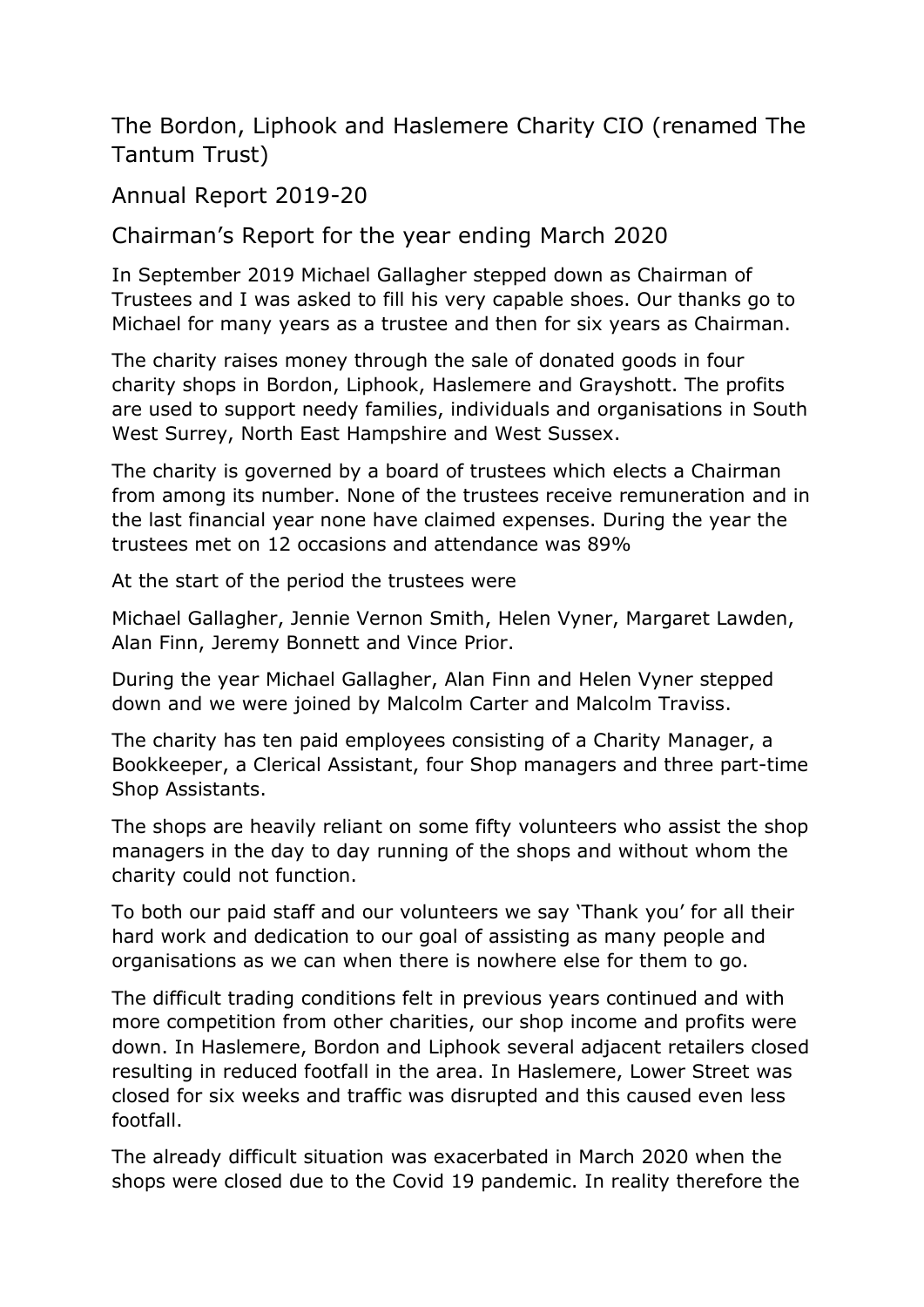The Bordon, Liphook and Haslemere Charity CIO (renamed The Tantum Trust)

Annual Report 2019-20

Chairman's Report for the year ending March 2020

In September 2019 Michael Gallagher stepped down as Chairman of Trustees and I was asked to fill his very capable shoes. Our thanks go to Michael for many years as a trustee and then for six years as Chairman.

The charity raises money through the sale of donated goods in four charity shops in Bordon, Liphook, Haslemere and Grayshott. The profits are used to support needy families, individuals and organisations in South West Surrey, North East Hampshire and West Sussex.

The charity is governed by a board of trustees which elects a Chairman from among its number. None of the trustees receive remuneration and in the last financial year none have claimed expenses. During the year the trustees met on 12 occasions and attendance was 89%

At the start of the period the trustees were

Michael Gallagher, Jennie Vernon Smith, Helen Vyner, Margaret Lawden, Alan Finn, Jeremy Bonnett and Vince Prior.

During the year Michael Gallagher, Alan Finn and Helen Vyner stepped down and we were joined by Malcolm Carter and Malcolm Traviss.

The charity has ten paid employees consisting of a Charity Manager, a Bookkeeper, a Clerical Assistant, four Shop managers and three part-time Shop Assistants.

The shops are heavily reliant on some fifty volunteers who assist the shop managers in the day to day running of the shops and without whom the charity could not function.

To both our paid staff and our volunteers we say 'Thank you' for all their hard work and dedication to our goal of assisting as many people and organisations as we can when there is nowhere else for them to go.

The difficult trading conditions felt in previous years continued and with more competition from other charities, our shop income and profits were down. In Haslemere, Bordon and Liphook several adjacent retailers closed resulting in reduced footfall in the area. In Haslemere, Lower Street was closed for six weeks and traffic was disrupted and this caused even less footfall.

The already difficult situation was exacerbated in March 2020 when the shops were closed due to the Covid 19 pandemic. In reality therefore the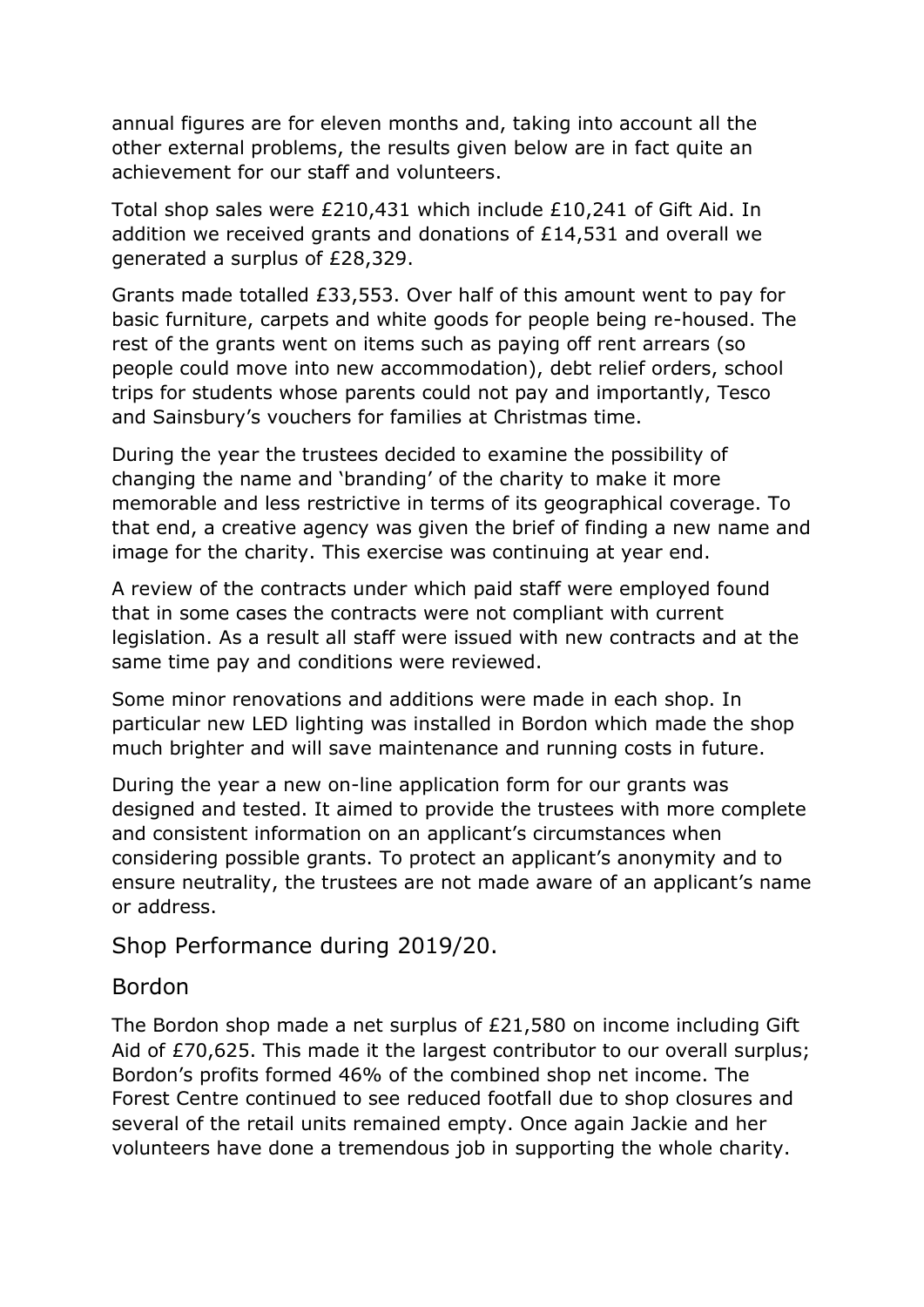annual figures are for eleven months and, taking into account all the other external problems, the results given below are in fact quite an achievement for our staff and volunteers.

Total shop sales were £210,431 which include £10,241 of Gift Aid. In addition we received grants and donations of £14,531 and overall we generated a surplus of £28,329.

Grants made totalled £33,553. Over half of this amount went to pay for basic furniture, carpets and white goods for people being re-housed. The rest of the grants went on items such as paying off rent arrears (so people could move into new accommodation), debt relief orders, school trips for students whose parents could not pay and importantly, Tesco and Sainsbury's vouchers for families at Christmas time.

During the year the trustees decided to examine the possibility of changing the name and 'branding' of the charity to make it more memorable and less restrictive in terms of its geographical coverage. To that end, a creative agency was given the brief of finding a new name and image for the charity. This exercise was continuing at year end.

A review of the contracts under which paid staff were employed found that in some cases the contracts were not compliant with current legislation. As a result all staff were issued with new contracts and at the same time pay and conditions were reviewed.

Some minor renovations and additions were made in each shop. In particular new LED lighting was installed in Bordon which made the shop much brighter and will save maintenance and running costs in future.

During the year a new on-line application form for our grants was designed and tested. It aimed to provide the trustees with more complete and consistent information on an applicant's circumstances when considering possible grants. To protect an applicant's anonymity and to ensure neutrality, the trustees are not made aware of an applicant's name or address.

Shop Performance during 2019/20.

### Bordon

The Bordon shop made a net surplus of £21,580 on income including Gift Aid of £70,625. This made it the largest contributor to our overall surplus; Bordon's profits formed 46% of the combined shop net income. The Forest Centre continued to see reduced footfall due to shop closures and several of the retail units remained empty. Once again Jackie and her volunteers have done a tremendous job in supporting the whole charity.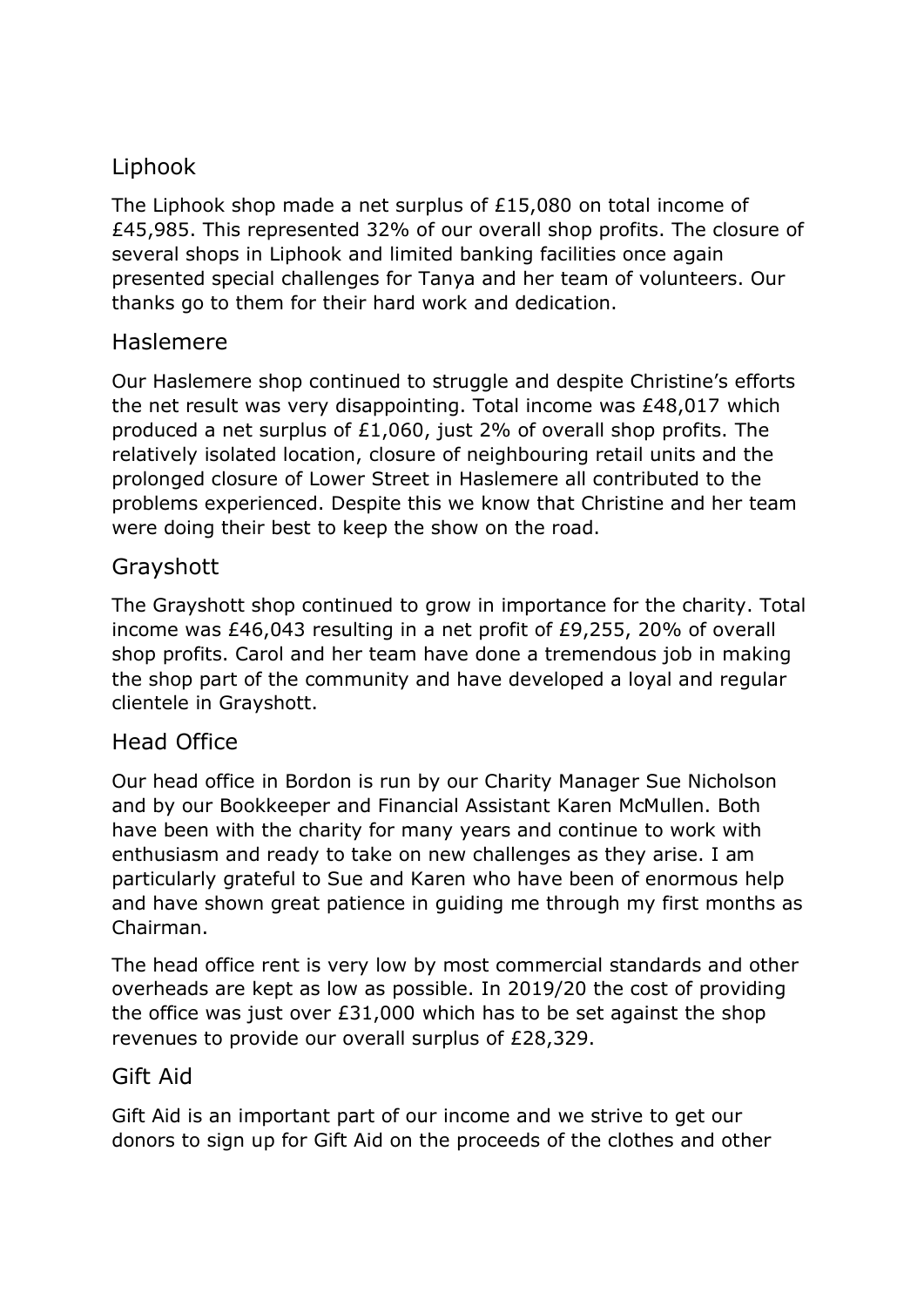# Liphook

The Liphook shop made a net surplus of £15,080 on total income of £45,985. This represented 32% of our overall shop profits. The closure of several shops in Liphook and limited banking facilities once again presented special challenges for Tanya and her team of volunteers. Our thanks go to them for their hard work and dedication.

### Haslemere

Our Haslemere shop continued to struggle and despite Christine's efforts the net result was very disappointing. Total income was £48,017 which produced a net surplus of £1,060, just 2% of overall shop profits. The relatively isolated location, closure of neighbouring retail units and the prolonged closure of Lower Street in Haslemere all contributed to the problems experienced. Despite this we know that Christine and her team were doing their best to keep the show on the road.

## Grayshott

The Grayshott shop continued to grow in importance for the charity. Total income was £46,043 resulting in a net profit of £9,255, 20% of overall shop profits. Carol and her team have done a tremendous job in making the shop part of the community and have developed a loyal and regular clientele in Grayshott.

## Head Office

Our head office in Bordon is run by our Charity Manager Sue Nicholson and by our Bookkeeper and Financial Assistant Karen McMullen. Both have been with the charity for many years and continue to work with enthusiasm and ready to take on new challenges as they arise. I am particularly grateful to Sue and Karen who have been of enormous help and have shown great patience in guiding me through my first months as Chairman.

The head office rent is very low by most commercial standards and other overheads are kept as low as possible. In 2019/20 the cost of providing the office was just over £31,000 which has to be set against the shop revenues to provide our overall surplus of £28,329.

### Gift Aid

Gift Aid is an important part of our income and we strive to get our donors to sign up for Gift Aid on the proceeds of the clothes and other